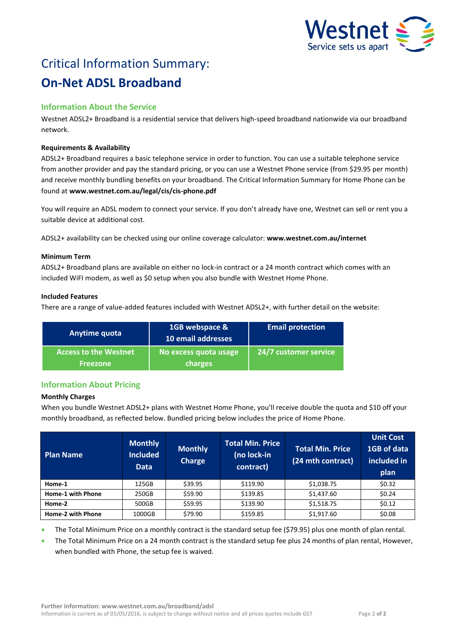

# Critical Information Summary: **On-Net ADSL Broadband**

# **Information About the Service**

Westnet ADSL2+ Broadband is a residential service that delivers high-speed broadband nationwide via our broadband network.

## **Requirements & Availability**

ADSL2+ Broadband requires a basic telephone service in order to function. You can use a suitable telephone service from another provider and pay the standard pricing, or you can use a Westnet Phone service (from \$29.95 per month) and receive monthly bundling benefits on your broadband. The Critical Information Summary for Home Phone can be found at **www.westnet.com.au/legal/cis/cis-phone.pdf**

You will require an ADSL modem to connect your service. If you don't already have one, Westnet can sell or rent you a suitable device at additional cost.

ADSL2+ availability can be checked using our online coverage calculator: **www.westnet.com.au/internet**

#### **Minimum Term**

ADSL2+ Broadband plans are available on either no lock-in contract or a 24 month contract which comes with an included WiFI modem, as well as \$0 setup when you also bundle with Westnet Home Phone.

## **Included Features**

There are a range of value-added features included with Westnet ADSL2+, with further detail on the website:

| Anytime quota                                   | 1GB webspace &<br>10 email addresses | <b>Email protection</b> |  |
|-------------------------------------------------|--------------------------------------|-------------------------|--|
| <b>Access to the Westnet</b><br><b>Freezone</b> | No excess quota usage<br>charges     | 24/7 customer service   |  |

# **Information About Pricing**

# **Monthly Charges**

When you bundle Westnet ADSL2+ plans with Westnet Home Phone, you'll receive double the quota and \$10 off your monthly broadband, as reflected below. Bundled pricing below includes the price of Home Phone.

| <b>Plan Name</b>  | <b>Monthly</b><br>Included<br><b>Data</b> | <b>Monthly</b><br><b>Charge</b> | <b>Total Min. Price</b><br>(no lock-in<br>contract) | Total Min. Price<br>(24 mth contract) | <b>Unit Cost</b><br>1GB of data<br>included in<br>plan |
|-------------------|-------------------------------------------|---------------------------------|-----------------------------------------------------|---------------------------------------|--------------------------------------------------------|
| Home-1            | 125GB                                     | \$39.95                         | \$119.90                                            | \$1,038.75                            | \$0.32                                                 |
| Home-1 with Phone | 250GB                                     | \$59.90                         | \$139.85                                            | \$1,437.60                            | \$0.24                                                 |
| Home-2            | 500GB                                     | \$59.95                         | \$139.90                                            | \$1,518.75                            | \$0.12                                                 |
| Home-2 with Phone | 1000GB                                    | \$79.90                         | \$159.85                                            | \$1,917.60                            | \$0.08                                                 |

The Total Minimum Price on a monthly contract is the standard setup fee (\$79.95) plus one month of plan rental.

 The Total Minimum Price on a 24 month contract is the standard setup fee plus 24 months of plan rental, However, when bundled with Phone, the setup fee is waived.